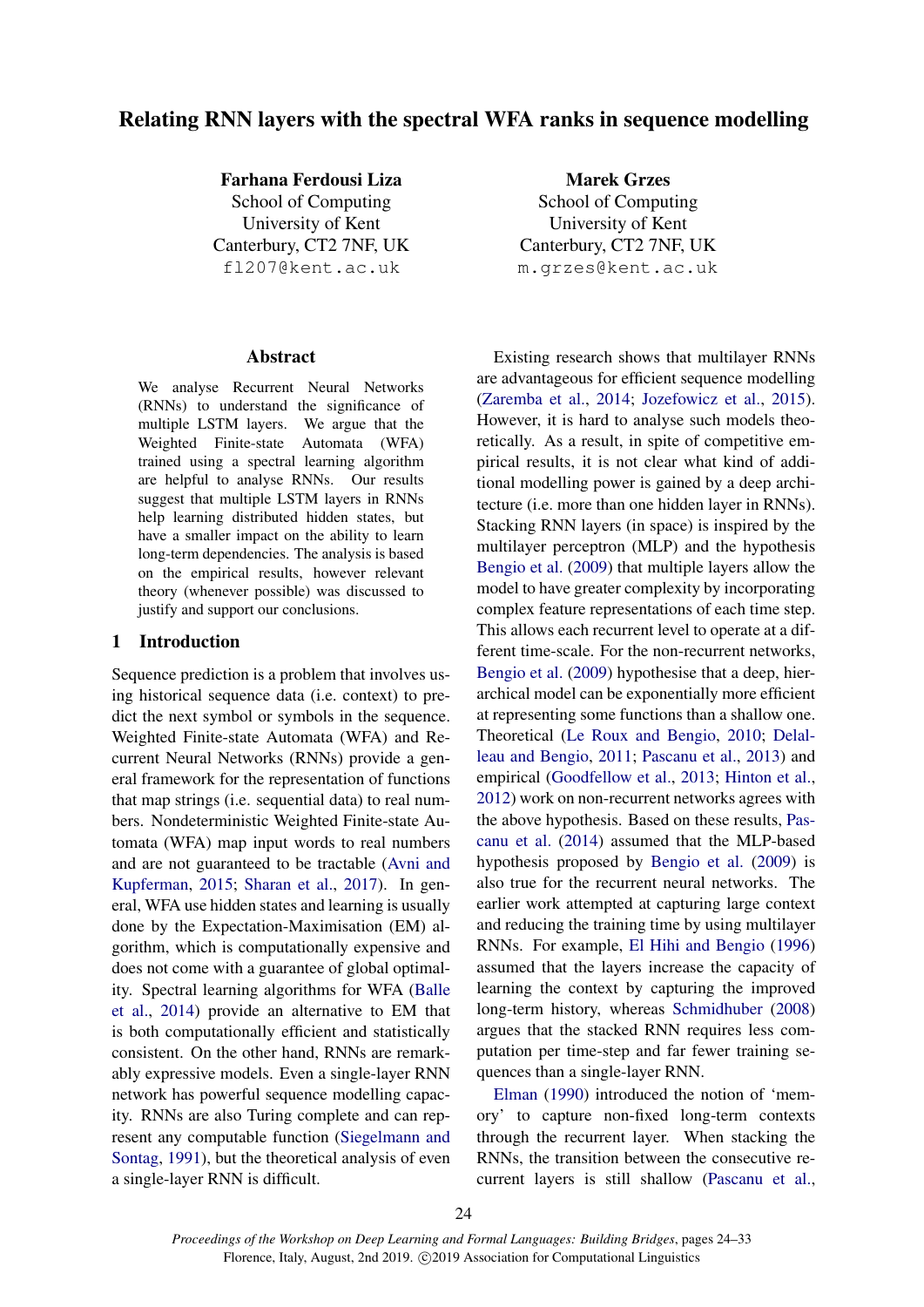# Relating RNN layers with the spectral WFA ranks in sequence modelling

Farhana Ferdousi Liza School of Computing University of Kent Canterbury, CT2 7NF, UK fl207@kent.ac.uk

#### Abstract

We analyse Recurrent Neural Networks (RNNs) to understand the significance of multiple LSTM layers. We argue that the Weighted Finite-state Automata (WFA) trained using a spectral learning algorithm are helpful to analyse RNNs. Our results suggest that multiple LSTM layers in RNNs help learning distributed hidden states, but have a smaller impact on the ability to learn long-term dependencies. The analysis is based on the empirical results, however relevant theory (whenever possible) was discussed to justify and support our conclusions.

#### 1 Introduction

Sequence prediction is a problem that involves using historical sequence data (i.e. context) to predict the next symbol or symbols in the sequence. Weighted Finite-state Automata (WFA) and Recurrent Neural Networks (RNNs) provide a general framework for the representation of functions that map strings (i.e. sequential data) to real numbers. Nondeterministic Weighted Finite-state Automata (WFA) map input words to real numbers and are not guaranteed to be tractable [\(Avni and](#page-8-0) [Kupferman,](#page-8-0) [2015;](#page-8-0) [Sharan et al.,](#page-9-0) [2017\)](#page-9-0). In general, WFA use hidden states and learning is usually done by the Expectation-Maximisation (EM) algorithm, which is computationally expensive and does not come with a guarantee of global optimality. Spectral learning algorithms for WFA [\(Balle](#page-8-1) [et al.,](#page-8-1) [2014\)](#page-8-1) provide an alternative to EM that is both computationally efficient and statistically consistent. On the other hand, RNNs are remarkably expressive models. Even a single-layer RNN network has powerful sequence modelling capacity. RNNs are also Turing complete and can represent any computable function [\(Siegelmann and](#page-9-1) [Sontag,](#page-9-1) [1991\)](#page-9-1), but the theoretical analysis of even a single-layer RNN is difficult.

Marek Grzes School of Computing University of Kent Canterbury, CT2 7NF, UK m.grzes@kent.ac.uk

Existing research shows that multilayer RNNs are advantageous for efficient sequence modelling [\(Zaremba et al.,](#page-9-2) [2014;](#page-9-2) [Jozefowicz et al.,](#page-8-2) [2015\)](#page-8-2). However, it is hard to analyse such models theoretically. As a result, in spite of competitive empirical results, it is not clear what kind of additional modelling power is gained by a deep architecture (i.e. more than one hidden layer in RNNs). Stacking RNN layers (in space) is inspired by the multilayer perceptron (MLP) and the hypothesis [Bengio et al.](#page-8-3) [\(2009\)](#page-8-3) that multiple layers allow the model to have greater complexity by incorporating complex feature representations of each time step. This allows each recurrent level to operate at a different time-scale. For the non-recurrent networks, [Bengio et al.](#page-8-3) [\(2009\)](#page-8-3) hypothesise that a deep, hierarchical model can be exponentially more efficient at representing some functions than a shallow one. Theoretical [\(Le Roux and Bengio,](#page-9-3) [2010;](#page-9-3) [Delal](#page-8-4)[leau and Bengio,](#page-8-4) [2011;](#page-8-4) [Pascanu et al.,](#page-9-4) [2013\)](#page-9-4) and empirical [\(Goodfellow et al.,](#page-8-5) [2013;](#page-8-5) [Hinton et al.,](#page-8-6) [2012\)](#page-8-6) work on non-recurrent networks agrees with the above hypothesis. Based on these results, [Pas](#page-9-5)[canu et al.](#page-9-5) [\(2014\)](#page-9-5) assumed that the MLP-based hypothesis proposed by [Bengio et al.](#page-8-3) [\(2009\)](#page-8-3) is also true for the recurrent neural networks. The earlier work attempted at capturing large context and reducing the training time by using multilayer RNNs. For example, [El Hihi and Bengio](#page-8-7) [\(1996\)](#page-8-7) assumed that the layers increase the capacity of learning the context by capturing the improved long-term history, whereas [Schmidhuber](#page-9-6) [\(2008\)](#page-9-6) argues that the stacked RNN requires less computation per time-step and far fewer training sequences than a single-layer RNN.

[Elman](#page-8-8) [\(1990\)](#page-8-8) introduced the notion of 'memory' to capture non-fixed long-term contexts through the recurrent layer. When stacking the RNNs, the transition between the consecutive recurrent layers is still shallow [\(Pascanu et al.,](#page-9-5)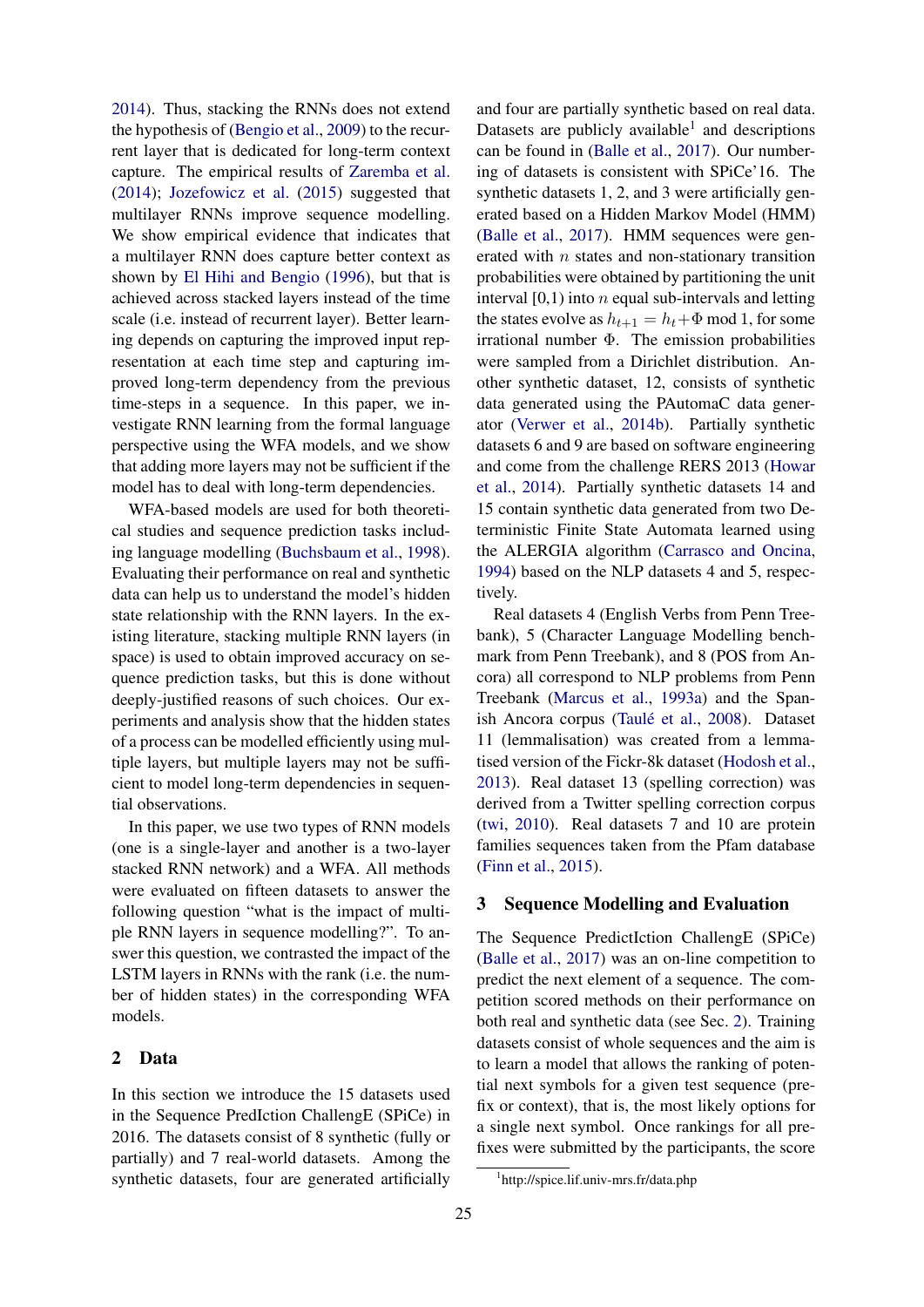[2014\)](#page-9-5). Thus, stacking the RNNs does not extend the hypothesis of [\(Bengio et al.,](#page-8-3) [2009\)](#page-8-3) to the recurrent layer that is dedicated for long-term context capture. The empirical results of [Zaremba et al.](#page-9-2) [\(2014\)](#page-9-2); [Jozefowicz et al.](#page-8-2) [\(2015\)](#page-8-2) suggested that multilayer RNNs improve sequence modelling. We show empirical evidence that indicates that a multilayer RNN does capture better context as shown by [El Hihi and Bengio](#page-8-7) [\(1996\)](#page-8-7), but that is achieved across stacked layers instead of the time scale (i.e. instead of recurrent layer). Better learning depends on capturing the improved input representation at each time step and capturing improved long-term dependency from the previous time-steps in a sequence. In this paper, we investigate RNN learning from the formal language perspective using the WFA models, and we show that adding more layers may not be sufficient if the model has to deal with long-term dependencies.

WFA-based models are used for both theoretical studies and sequence prediction tasks including language modelling [\(Buchsbaum et al.,](#page-8-9) [1998\)](#page-8-9). Evaluating their performance on real and synthetic data can help us to understand the model's hidden state relationship with the RNN layers. In the existing literature, stacking multiple RNN layers (in space) is used to obtain improved accuracy on sequence prediction tasks, but this is done without deeply-justified reasons of such choices. Our experiments and analysis show that the hidden states of a process can be modelled efficiently using multiple layers, but multiple layers may not be sufficient to model long-term dependencies in sequential observations.

In this paper, we use two types of RNN models (one is a single-layer and another is a two-layer stacked RNN network) and a WFA. All methods were evaluated on fifteen datasets to answer the following question "what is the impact of multiple RNN layers in sequence modelling?". To answer this question, we contrasted the impact of the LSTM layers in RNNs with the rank (i.e. the number of hidden states) in the corresponding WFA models.

### <span id="page-1-1"></span>2 Data

In this section we introduce the 15 datasets used in the Sequence PredIction ChallengE (SPiCe) in 2016. The datasets consist of 8 synthetic (fully or partially) and 7 real-world datasets. Among the synthetic datasets, four are generated artificially

and four are partially synthetic based on real data. Datasets are publicly available<sup>[1](#page-1-0)</sup> and descriptions can be found in [\(Balle et al.,](#page-8-10) [2017\)](#page-8-10). Our numbering of datasets is consistent with SPiCe'16. The synthetic datasets 1, 2, and 3 were artificially generated based on a Hidden Markov Model (HMM) [\(Balle et al.,](#page-8-10) [2017\)](#page-8-10). HMM sequences were generated with  $n$  states and non-stationary transition probabilities were obtained by partitioning the unit interval  $[0,1)$  into n equal sub-intervals and letting the states evolve as  $h_{t+1} = h_t + \Phi \text{ mod } 1$ , for some irrational number Φ. The emission probabilities were sampled from a Dirichlet distribution. Another synthetic dataset, 12, consists of synthetic data generated using the PAutomaC data generator [\(Verwer et al.,](#page-9-7) [2014b\)](#page-9-7). Partially synthetic datasets 6 and 9 are based on software engineering and come from the challenge RERS 2013 [\(Howar](#page-8-11) [et al.,](#page-8-11) [2014\)](#page-8-11). Partially synthetic datasets 14 and 15 contain synthetic data generated from two Deterministic Finite State Automata learned using the ALERGIA algorithm [\(Carrasco and Oncina,](#page-8-12) [1994\)](#page-8-12) based on the NLP datasets 4 and 5, respectively.

Real datasets 4 (English Verbs from Penn Treebank), 5 (Character Language Modelling benchmark from Penn Treebank), and 8 (POS from Ancora) all correspond to NLP problems from Penn Treebank [\(Marcus et al.,](#page-9-8) [1993a\)](#page-9-8) and the Span-ish Ancora corpus (Taulé et al., [2008\)](#page-9-9). Dataset 11 (lemmalisation) was created from a lemmatised version of the Fickr-8k dataset [\(Hodosh et al.,](#page-8-13) [2013\)](#page-8-13). Real dataset 13 (spelling correction) was derived from a Twitter spelling correction corpus [\(twi,](#page-7-0) [2010\)](#page-7-0). Real datasets 7 and 10 are protein families sequences taken from the Pfam database [\(Finn et al.,](#page-8-14) [2015\)](#page-8-14).

### <span id="page-1-2"></span>3 Sequence Modelling and Evaluation

The Sequence PredictIction ChallengE (SPiCe) [\(Balle et al.,](#page-8-10) [2017\)](#page-8-10) was an on-line competition to predict the next element of a sequence. The competition scored methods on their performance on both real and synthetic data (see Sec. [2\)](#page-1-1). Training datasets consist of whole sequences and the aim is to learn a model that allows the ranking of potential next symbols for a given test sequence (prefix or context), that is, the most likely options for a single next symbol. Once rankings for all prefixes were submitted by the participants, the score

<span id="page-1-0"></span><sup>1</sup> http://spice.lif.univ-mrs.fr/data.php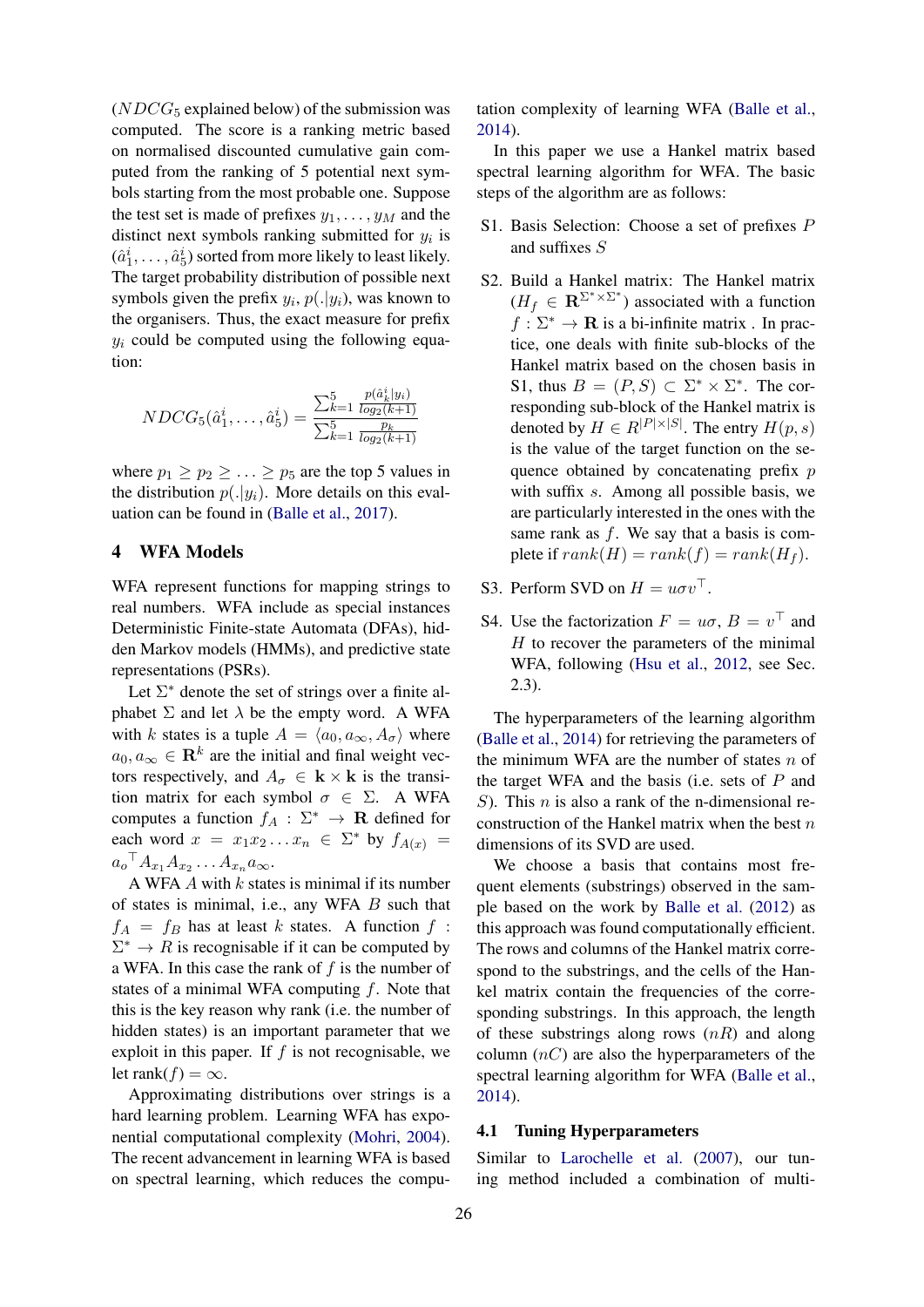$(NDCG_5$  explained below) of the submission was computed. The score is a ranking metric based on normalised discounted cumulative gain computed from the ranking of 5 potential next symbols starting from the most probable one. Suppose the test set is made of prefixes  $y_1, \ldots, y_M$  and the distinct next symbols ranking submitted for  $y_i$  is  $(\hat{a}_1^i, \ldots, \hat{a}_5^i)$  sorted from more likely to least likely. The target probability distribution of possible next symbols given the prefix  $y_i$ ,  $p(.|y_i)$ , was known to the organisers. Thus, the exact measure for prefix  $y_i$  could be computed using the following equation:

$$
NDCG_{5}(\hat{a}_{1}^{i},\ldots,\hat{a}_{5}^{i}) = \frac{\sum_{k=1}^{5} \frac{p(\hat{a}_{k}^{i}|y_{i})}{\log_{2}(k+1)}}{\sum_{k=1}^{5} \frac{p_{k}}{\log_{2}(k+1)}}
$$

where  $p_1 \geq p_2 \geq \ldots \geq p_5$  are the top 5 values in the distribution  $p(.|y_i)$ . More details on this evaluation can be found in [\(Balle et al.,](#page-8-10) [2017\)](#page-8-10).

## <span id="page-2-1"></span>4 WFA Models

WFA represent functions for mapping strings to real numbers. WFA include as special instances Deterministic Finite-state Automata (DFAs), hidden Markov models (HMMs), and predictive state representations (PSRs).

Let  $\Sigma^*$  denote the set of strings over a finite alphabet  $\Sigma$  and let  $\lambda$  be the empty word. A WFA with k states is a tuple  $A = \langle a_0, a_\infty, A_\sigma \rangle$  where  $a_0, a_\infty \in \mathbf{R}^k$  are the initial and final weight vectors respectively, and  $A_{\sigma} \in \mathbf{k} \times \mathbf{k}$  is the transition matrix for each symbol  $\sigma \in \Sigma$ . A WFA computes a function  $f_A : \Sigma^* \to \mathbf{R}$  defined for each word  $x = x_1 x_2 ... x_n \in \Sigma^*$  by  $f_{A(x)} =$  $a_o^{\top} A_{x_1} A_{x_2} \ldots A_{x_n} a_{\infty}.$ 

A WFA  $A$  with  $k$  states is minimal if its number of states is minimal, i.e., any WFA  $B$  such that  $f_A = f_B$  has at least k states. A function f:  $\Sigma^* \to R$  is recognisable if it can be computed by a WFA. In this case the rank of  $f$  is the number of states of a minimal WFA computing  $f$ . Note that this is the key reason why rank (i.e. the number of hidden states) is an important parameter that we exploit in this paper. If  $f$  is not recognisable, we let rank $(f) = \infty$ .

Approximating distributions over strings is a hard learning problem. Learning WFA has exponential computational complexity [\(Mohri,](#page-9-10) [2004\)](#page-9-10). The recent advancement in learning WFA is based on spectral learning, which reduces the computation complexity of learning WFA [\(Balle et al.,](#page-8-1) [2014\)](#page-8-1).

In this paper we use a Hankel matrix based spectral learning algorithm for WFA. The basic steps of the algorithm are as follows:

- S1. Basis Selection: Choose a set of prefixes P and suffixes S
- S2. Build a Hankel matrix: The Hankel matrix  $(H_f \in \mathbf{R}^{\Sigma^* \times \Sigma^*})$  associated with a function  $f : \Sigma^* \to \mathbf{R}$  is a bi-infinite matrix . In practice, one deals with finite sub-blocks of the Hankel matrix based on the chosen basis in S1, thus  $B = (P, S) \subset \Sigma^* \times \Sigma^*$ . The corresponding sub-block of the Hankel matrix is denoted by  $H \in R^{|P| \times |S|}$ . The entry  $H(p, s)$ is the value of the target function on the sequence obtained by concatenating prefix  $p$ with suffix s. Among all possible basis, we are particularly interested in the ones with the same rank as  $f$ . We say that a basis is complete if  $rank(H) = rank(f) = rank(H_f)$ .
- S3. Perform SVD on  $H = u\sigma v^{\top}$ .
- S4. Use the factorization  $F = u\sigma$ ,  $B = v^{\top}$  and  $H$  to recover the parameters of the minimal WFA, following [\(Hsu et al.,](#page-8-15) [2012,](#page-8-15) see Sec. 2.3).

The hyperparameters of the learning algorithm [\(Balle et al.,](#page-8-1) [2014\)](#page-8-1) for retrieving the parameters of the minimum WFA are the number of states  $n$  of the target WFA and the basis (i.e. sets of  $P$  and S). This *n* is also a rank of the n-dimensional reconstruction of the Hankel matrix when the best  $n$ dimensions of its SVD are used.

We choose a basis that contains most frequent elements (substrings) observed in the sample based on the work by [Balle et al.](#page-8-16) [\(2012\)](#page-8-16) as this approach was found computationally efficient. The rows and columns of the Hankel matrix correspond to the substrings, and the cells of the Hankel matrix contain the frequencies of the corresponding substrings. In this approach, the length of these substrings along rows  $(nR)$  and along column  $(nC)$  are also the hyperparameters of the spectral learning algorithm for WFA [\(Balle et al.,](#page-8-1) [2014\)](#page-8-1).

#### <span id="page-2-0"></span>4.1 Tuning Hyperparameters

Similar to [Larochelle et al.](#page-9-11) [\(2007\)](#page-9-11), our tuning method included a combination of multi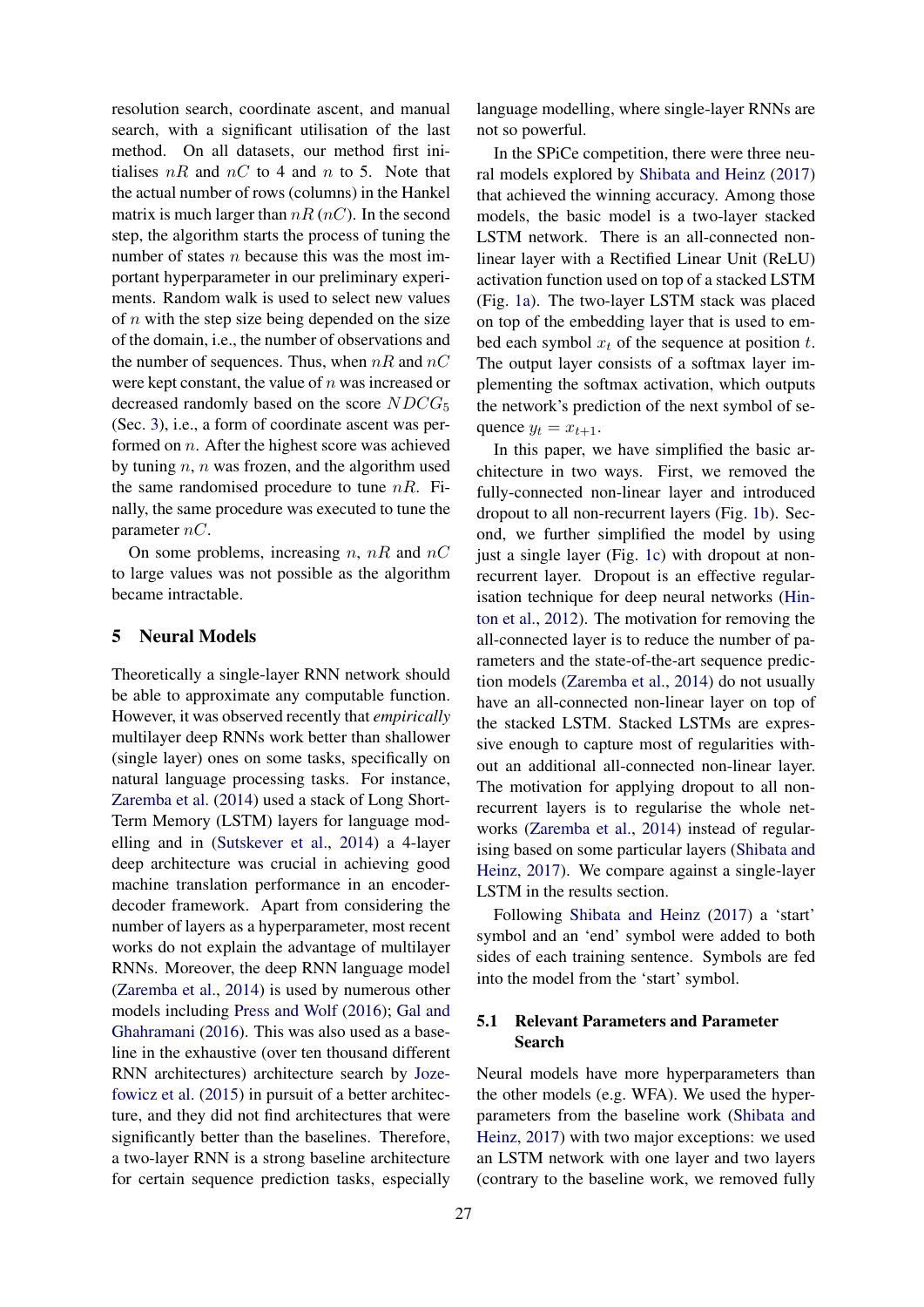resolution search, coordinate ascent, and manual search, with a significant utilisation of the last method. On all datasets, our method first initialises  $nR$  and  $nC$  to 4 and n to 5. Note that the actual number of rows (columns) in the Hankel matrix is much larger than  $nR$  ( $nC$ ). In the second step, the algorithm starts the process of tuning the number of states  $n$  because this was the most important hyperparameter in our preliminary experiments. Random walk is used to select new values of  $n$  with the step size being depended on the size of the domain, i.e., the number of observations and the number of sequences. Thus, when  $nR$  and  $nC$ were kept constant, the value of *n* was increased or decreased randomly based on the score  $NDCG_5$ (Sec. [3\)](#page-1-2), i.e., a form of coordinate ascent was performed on n. After the highest score was achieved by tuning  $n$ ,  $n$  was frozen, and the algorithm used the same randomised procedure to tune  $nR$ . Finally, the same procedure was executed to tune the parameter  $nC$ .

On some problems, increasing n,  $nR$  and  $nC$ to large values was not possible as the algorithm became intractable.

## <span id="page-3-0"></span>5 Neural Models

Theoretically a single-layer RNN network should be able to approximate any computable function. However, it was observed recently that *empirically* multilayer deep RNNs work better than shallower (single layer) ones on some tasks, specifically on natural language processing tasks. For instance, [Zaremba et al.](#page-9-2) [\(2014\)](#page-9-2) used a stack of Long Short-Term Memory (LSTM) layers for language modelling and in [\(Sutskever et al.,](#page-9-12) [2014\)](#page-9-12) a 4-layer deep architecture was crucial in achieving good machine translation performance in an encoderdecoder framework. Apart from considering the number of layers as a hyperparameter, most recent works do not explain the advantage of multilayer RNNs. Moreover, the deep RNN language model [\(Zaremba et al.,](#page-9-2) [2014\)](#page-9-2) is used by numerous other models including [Press and Wolf](#page-9-13) [\(2016\)](#page-9-13); [Gal and](#page-8-17) [Ghahramani](#page-8-17) [\(2016\)](#page-8-17). This was also used as a baseline in the exhaustive (over ten thousand different RNN architectures) architecture search by [Joze](#page-8-2)[fowicz et al.](#page-8-2) [\(2015\)](#page-8-2) in pursuit of a better architecture, and they did not find architectures that were significantly better than the baselines. Therefore, a two-layer RNN is a strong baseline architecture for certain sequence prediction tasks, especially

language modelling, where single-layer RNNs are not so powerful.

In the SPiCe competition, there were three neural models explored by [Shibata and Heinz](#page-9-14) [\(2017\)](#page-9-14) that achieved the winning accuracy. Among those models, the basic model is a two-layer stacked LSTM network. There is an all-connected nonlinear layer with a Rectified Linear Unit (ReLU) activation function used on top of a stacked LSTM (Fig. [1a\)](#page-4-0). The two-layer LSTM stack was placed on top of the embedding layer that is used to embed each symbol  $x_t$  of the sequence at position t. The output layer consists of a softmax layer implementing the softmax activation, which outputs the network's prediction of the next symbol of sequence  $y_t = x_{t+1}$ .

In this paper, we have simplified the basic architecture in two ways. First, we removed the fully-connected non-linear layer and introduced dropout to all non-recurrent layers (Fig. [1b\)](#page-4-0). Second, we further simplified the model by using just a single layer (Fig. [1c\)](#page-4-0) with dropout at nonrecurrent layer. Dropout is an effective regularisation technique for deep neural networks [\(Hin](#page-8-6)[ton et al.,](#page-8-6) [2012\)](#page-8-6). The motivation for removing the all-connected layer is to reduce the number of parameters and the state-of-the-art sequence prediction models [\(Zaremba et al.,](#page-9-2) [2014\)](#page-9-2) do not usually have an all-connected non-linear layer on top of the stacked LSTM. Stacked LSTMs are expressive enough to capture most of regularities without an additional all-connected non-linear layer. The motivation for applying dropout to all nonrecurrent layers is to regularise the whole networks [\(Zaremba et al.,](#page-9-2) [2014\)](#page-9-2) instead of regularising based on some particular layers [\(Shibata and](#page-9-14) [Heinz,](#page-9-14) [2017\)](#page-9-14). We compare against a single-layer LSTM in the results section.

Following [Shibata and Heinz](#page-9-14) [\(2017\)](#page-9-14) a 'start' symbol and an 'end' symbol were added to both sides of each training sentence. Symbols are fed into the model from the 'start' symbol.

## 5.1 Relevant Parameters and Parameter Search

Neural models have more hyperparameters than the other models (e.g. WFA). We used the hyperparameters from the baseline work [\(Shibata and](#page-9-14) [Heinz,](#page-9-14) [2017\)](#page-9-14) with two major exceptions: we used an LSTM network with one layer and two layers (contrary to the baseline work, we removed fully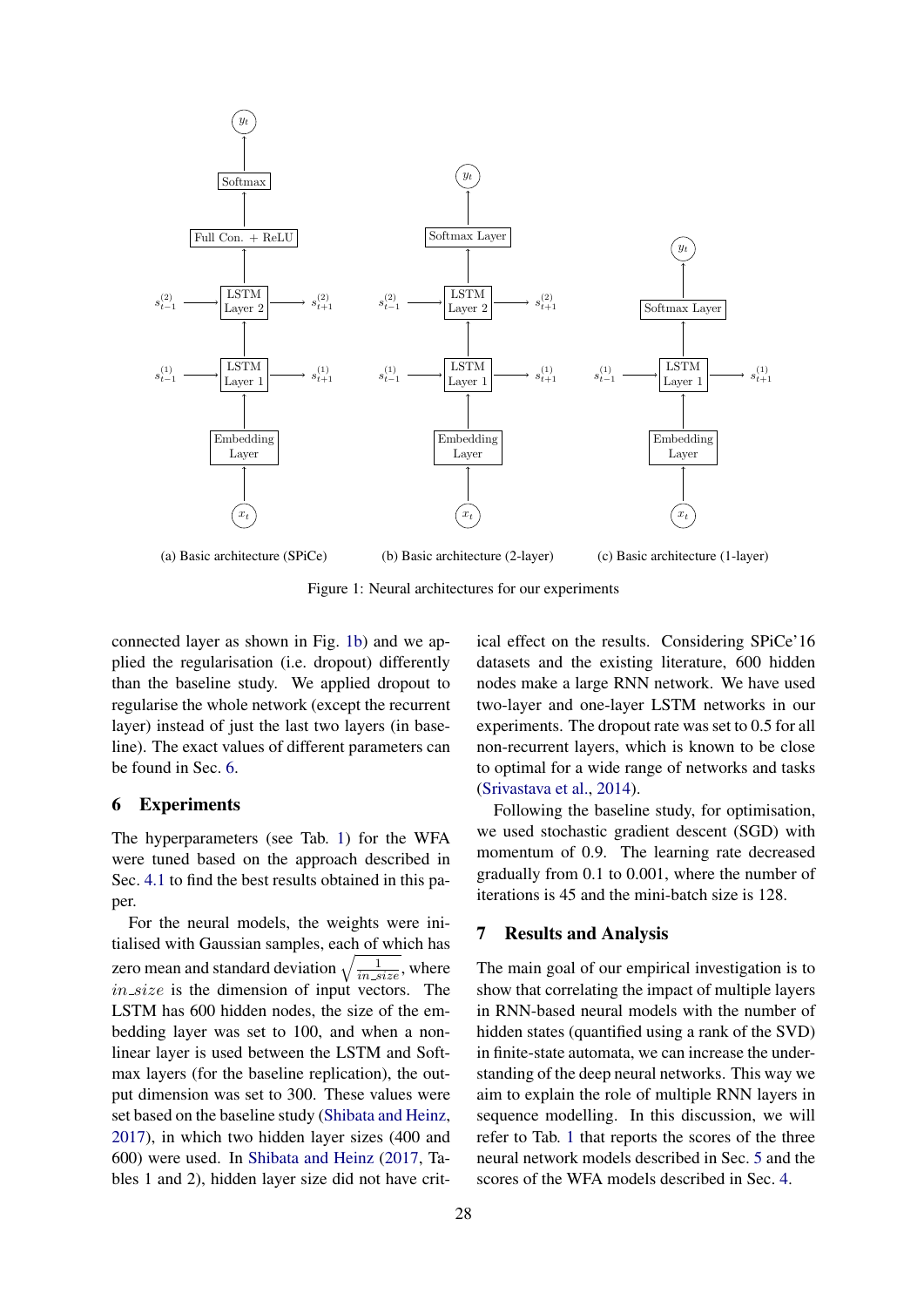<span id="page-4-0"></span>

Figure 1: Neural architectures for our experiments

connected layer as shown in Fig. [1b\)](#page-4-0) and we applied the regularisation (i.e. dropout) differently than the baseline study. We applied dropout to regularise the whole network (except the recurrent layer) instead of just the last two layers (in baseline). The exact values of different parameters can be found in Sec. [6.](#page-4-1)

#### <span id="page-4-1"></span>6 Experiments

The hyperparameters (see Tab. [1\)](#page-5-0) for the WFA were tuned based on the approach described in Sec. [4.1](#page-2-0) to find the best results obtained in this paper.

For the neural models, the weights were initialised with Gaussian samples, each of which has zero mean and standard deviation  $\sqrt{\frac{1}{in\_size}}$ , where  $in\_size$  is the dimension of input vectors. The LSTM has 600 hidden nodes, the size of the embedding layer was set to 100, and when a nonlinear layer is used between the LSTM and Softmax layers (for the baseline replication), the output dimension was set to 300. These values were set based on the baseline study [\(Shibata and Heinz,](#page-9-14) [2017\)](#page-9-14), in which two hidden layer sizes (400 and 600) were used. In [Shibata and Heinz](#page-9-14) [\(2017,](#page-9-14) Tables 1 and 2), hidden layer size did not have critical effect on the results. Considering SPiCe'16 datasets and the existing literature, 600 hidden nodes make a large RNN network. We have used two-layer and one-layer LSTM networks in our experiments. The dropout rate was set to 0.5 for all non-recurrent layers, which is known to be close to optimal for a wide range of networks and tasks [\(Srivastava et al.,](#page-9-15) [2014\)](#page-9-15).

Following the baseline study, for optimisation, we used stochastic gradient descent (SGD) with momentum of 0.9. The learning rate decreased gradually from 0.1 to 0.001, where the number of iterations is 45 and the mini-batch size is 128.

## 7 Results and Analysis

The main goal of our empirical investigation is to show that correlating the impact of multiple layers in RNN-based neural models with the number of hidden states (quantified using a rank of the SVD) in finite-state automata, we can increase the understanding of the deep neural networks. This way we aim to explain the role of multiple RNN layers in sequence modelling. In this discussion, we will refer to Tab. [1](#page-5-0) that reports the scores of the three neural network models described in Sec. [5](#page-3-0) and the scores of the WFA models described in Sec. [4.](#page-2-1)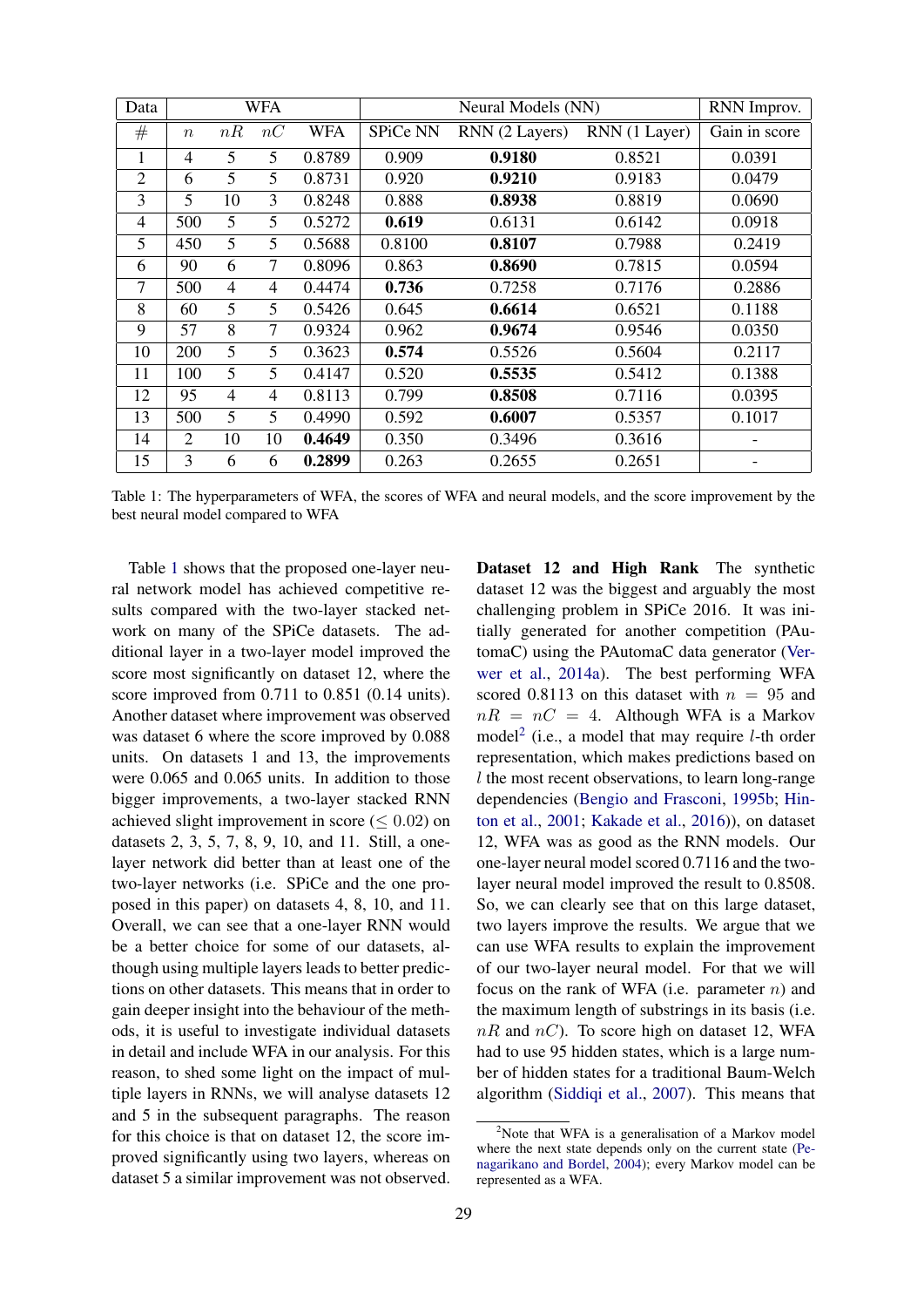<span id="page-5-0"></span>

| Data           | <b>WFA</b>       |                |                |            | Neural Models (NN) |                |               | RNN Improv.   |
|----------------|------------------|----------------|----------------|------------|--------------------|----------------|---------------|---------------|
| #              | $\boldsymbol{n}$ | nR             | nC             | <b>WFA</b> | SPiCe NN           | RNN (2 Layers) | RNN (1 Layer) | Gain in score |
| 1              | 4                | 5              | 5              | 0.8789     | 0.909              | 0.9180         | 0.8521        | 0.0391        |
| $\overline{2}$ | 6                | 5              | 5              | 0.8731     | 0.920              | 0.9210         | 0.9183        | 0.0479        |
| 3              | $5\overline{)}$  | 10             | 3              | 0.8248     | 0.888              | 0.8938         | 0.8819        | 0.0690        |
| 4              | 500              | 5              | 5              | 0.5272     | 0.619              | 0.6131         | 0.6142        | 0.0918        |
| 5              | 450              | 5              | 5              | 0.5688     | 0.8100             | 0.8107         | 0.7988        | 0.2419        |
| 6              | 90               | 6              | $\overline{7}$ | 0.8096     | 0.863              | 0.8690         | 0.7815        | 0.0594        |
| 7              | 500              | $\overline{4}$ | 4              | 0.4474     | 0.736              | 0.7258         | 0.7176        | 0.2886        |
| 8              | 60               | 5              | 5              | 0.5426     | 0.645              | 0.6614         | 0.6521        | 0.1188        |
| 9              | 57               | 8              | $\tau$         | 0.9324     | 0.962              | 0.9674         | 0.9546        | 0.0350        |
| 10             | 200              | 5              | 5              | 0.3623     | 0.574              | 0.5526         | 0.5604        | 0.2117        |
| 11             | 100              | 5              | 5              | 0.4147     | 0.520              | 0.5535         | 0.5412        | 0.1388        |
| 12             | 95               | $\overline{4}$ | 4              | 0.8113     | 0.799              | 0.8508         | 0.7116        | 0.0395        |
| 13             | 500              | 5              | 5              | 0.4990     | 0.592              | 0.6007         | 0.5357        | 0.1017        |
| 14             | 2                | 10             | 10             | 0.4649     | 0.350              | 0.3496         | 0.3616        |               |
| 15             | 3                | 6              | 6              | 0.2899     | 0.263              | 0.2655         | 0.2651        |               |

Table 1: The hyperparameters of WFA, the scores of WFA and neural models, and the score improvement by the best neural model compared to WFA

Table [1](#page-5-0) shows that the proposed one-layer neural network model has achieved competitive results compared with the two-layer stacked network on many of the SPiCe datasets. The additional layer in a two-layer model improved the score most significantly on dataset 12, where the score improved from 0.711 to 0.851 (0.14 units). Another dataset where improvement was observed was dataset 6 where the score improved by 0.088 units. On datasets 1 and 13, the improvements were 0.065 and 0.065 units. In addition to those bigger improvements, a two-layer stacked RNN achieved slight improvement in score ( $\leq 0.02$ ) on datasets 2, 3, 5, 7, 8, 9, 10, and 11. Still, a onelayer network did better than at least one of the two-layer networks (i.e. SPiCe and the one proposed in this paper) on datasets 4, 8, 10, and 11. Overall, we can see that a one-layer RNN would be a better choice for some of our datasets, although using multiple layers leads to better predictions on other datasets. This means that in order to gain deeper insight into the behaviour of the methods, it is useful to investigate individual datasets in detail and include WFA in our analysis. For this reason, to shed some light on the impact of multiple layers in RNNs, we will analyse datasets 12 and 5 in the subsequent paragraphs. The reason for this choice is that on dataset 12, the score improved significantly using two layers, whereas on dataset 5 a similar improvement was not observed.

Dataset 12 and High Rank The synthetic dataset 12 was the biggest and arguably the most challenging problem in SPiCe 2016. It was initially generated for another competition (PAutomaC) using the PAutomaC data generator [\(Ver](#page-9-16)[wer et al.,](#page-9-16) [2014a\)](#page-9-16). The best performing WFA scored 0.8113 on this dataset with  $n = 95$  and  $nR = nC = 4$ . Although WFA is a Markov model<sup>[2](#page-5-1)</sup> (i.e., a model that may require *l*-th order representation, which makes predictions based on l the most recent observations, to learn long-range dependencies [\(Bengio and Frasconi,](#page-8-18) [1995b;](#page-8-18) [Hin](#page-8-19)[ton et al.,](#page-8-19) [2001;](#page-8-19) [Kakade et al.,](#page-8-20) [2016\)](#page-8-20)), on dataset 12, WFA was as good as the RNN models. Our one-layer neural model scored 0.7116 and the twolayer neural model improved the result to 0.8508. So, we can clearly see that on this large dataset, two layers improve the results. We argue that we can use WFA results to explain the improvement of our two-layer neural model. For that we will focus on the rank of WFA (i.e. parameter  $n$ ) and the maximum length of substrings in its basis (i.e.  $nR$  and  $nC$ ). To score high on dataset 12, WFA had to use 95 hidden states, which is a large number of hidden states for a traditional Baum-Welch algorithm [\(Siddiqi et al.,](#page-9-17) [2007\)](#page-9-17). This means that

<span id="page-5-1"></span> $2^2$ Note that WFA is a generalisation of a Markov model where the next state depends only on the current state [\(Pe](#page-9-18)[nagarikano and Bordel,](#page-9-18) [2004\)](#page-9-18); every Markov model can be represented as a WFA.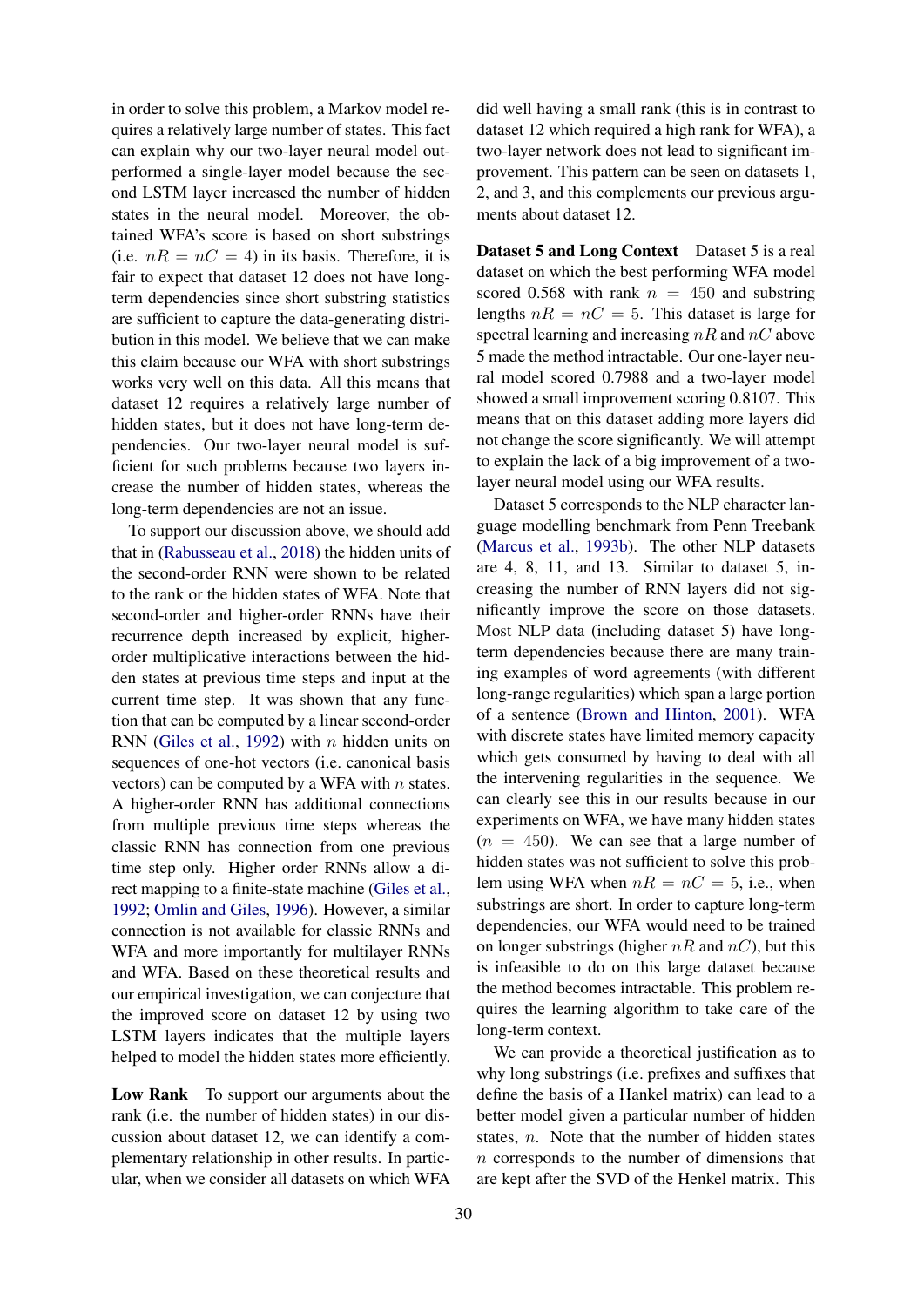in order to solve this problem, a Markov model requires a relatively large number of states. This fact can explain why our two-layer neural model outperformed a single-layer model because the second LSTM layer increased the number of hidden states in the neural model. Moreover, the obtained WFA's score is based on short substrings (i.e.  $nR = nC = 4$ ) in its basis. Therefore, it is fair to expect that dataset 12 does not have longterm dependencies since short substring statistics are sufficient to capture the data-generating distribution in this model. We believe that we can make this claim because our WFA with short substrings works very well on this data. All this means that dataset 12 requires a relatively large number of hidden states, but it does not have long-term dependencies. Our two-layer neural model is sufficient for such problems because two layers increase the number of hidden states, whereas the long-term dependencies are not an issue.

To support our discussion above, we should add that in [\(Rabusseau et al.,](#page-9-19) [2018\)](#page-9-19) the hidden units of the second-order RNN were shown to be related to the rank or the hidden states of WFA. Note that second-order and higher-order RNNs have their recurrence depth increased by explicit, higherorder multiplicative interactions between the hidden states at previous time steps and input at the current time step. It was shown that any function that can be computed by a linear second-order RNN [\(Giles et al.,](#page-8-21) [1992\)](#page-8-21) with  $n$  hidden units on sequences of one-hot vectors (i.e. canonical basis vectors) can be computed by a WFA with  $n$  states. A higher-order RNN has additional connections from multiple previous time steps whereas the classic RNN has connection from one previous time step only. Higher order RNNs allow a direct mapping to a finite-state machine [\(Giles et al.,](#page-8-21) [1992;](#page-8-21) [Omlin and Giles,](#page-9-20) [1996\)](#page-9-20). However, a similar connection is not available for classic RNNs and WFA and more importantly for multilayer RNNs and WFA. Based on these theoretical results and our empirical investigation, we can conjecture that the improved score on dataset 12 by using two LSTM layers indicates that the multiple layers helped to model the hidden states more efficiently.

Low Rank To support our arguments about the rank (i.e. the number of hidden states) in our discussion about dataset 12, we can identify a complementary relationship in other results. In particular, when we consider all datasets on which WFA

did well having a small rank (this is in contrast to dataset 12 which required a high rank for WFA), a two-layer network does not lead to significant improvement. This pattern can be seen on datasets 1, 2, and 3, and this complements our previous arguments about dataset 12.

Dataset 5 and Long Context Dataset 5 is a real dataset on which the best performing WFA model scored 0.568 with rank  $n = 450$  and substring lengths  $nR = nC = 5$ . This dataset is large for spectral learning and increasing  $nR$  and  $nC$  above 5 made the method intractable. Our one-layer neural model scored 0.7988 and a two-layer model showed a small improvement scoring 0.8107. This means that on this dataset adding more layers did not change the score significantly. We will attempt to explain the lack of a big improvement of a twolayer neural model using our WFA results.

Dataset 5 corresponds to the NLP character language modelling benchmark from Penn Treebank [\(Marcus et al.,](#page-9-21) [1993b\)](#page-9-21). The other NLP datasets are 4, 8, 11, and 13. Similar to dataset 5, increasing the number of RNN layers did not significantly improve the score on those datasets. Most NLP data (including dataset 5) have longterm dependencies because there are many training examples of word agreements (with different long-range regularities) which span a large portion of a sentence [\(Brown and Hinton,](#page-8-22) [2001\)](#page-8-22). WFA with discrete states have limited memory capacity which gets consumed by having to deal with all the intervening regularities in the sequence. We can clearly see this in our results because in our experiments on WFA, we have many hidden states  $(n = 450)$ . We can see that a large number of hidden states was not sufficient to solve this problem using WFA when  $nR = nC = 5$ , i.e., when substrings are short. In order to capture long-term dependencies, our WFA would need to be trained on longer substrings (higher  $nR$  and  $nC$ ), but this is infeasible to do on this large dataset because the method becomes intractable. This problem requires the learning algorithm to take care of the long-term context.

We can provide a theoretical justification as to why long substrings (i.e. prefixes and suffixes that define the basis of a Hankel matrix) can lead to a better model given a particular number of hidden states, n. Note that the number of hidden states n corresponds to the number of dimensions that are kept after the SVD of the Henkel matrix. This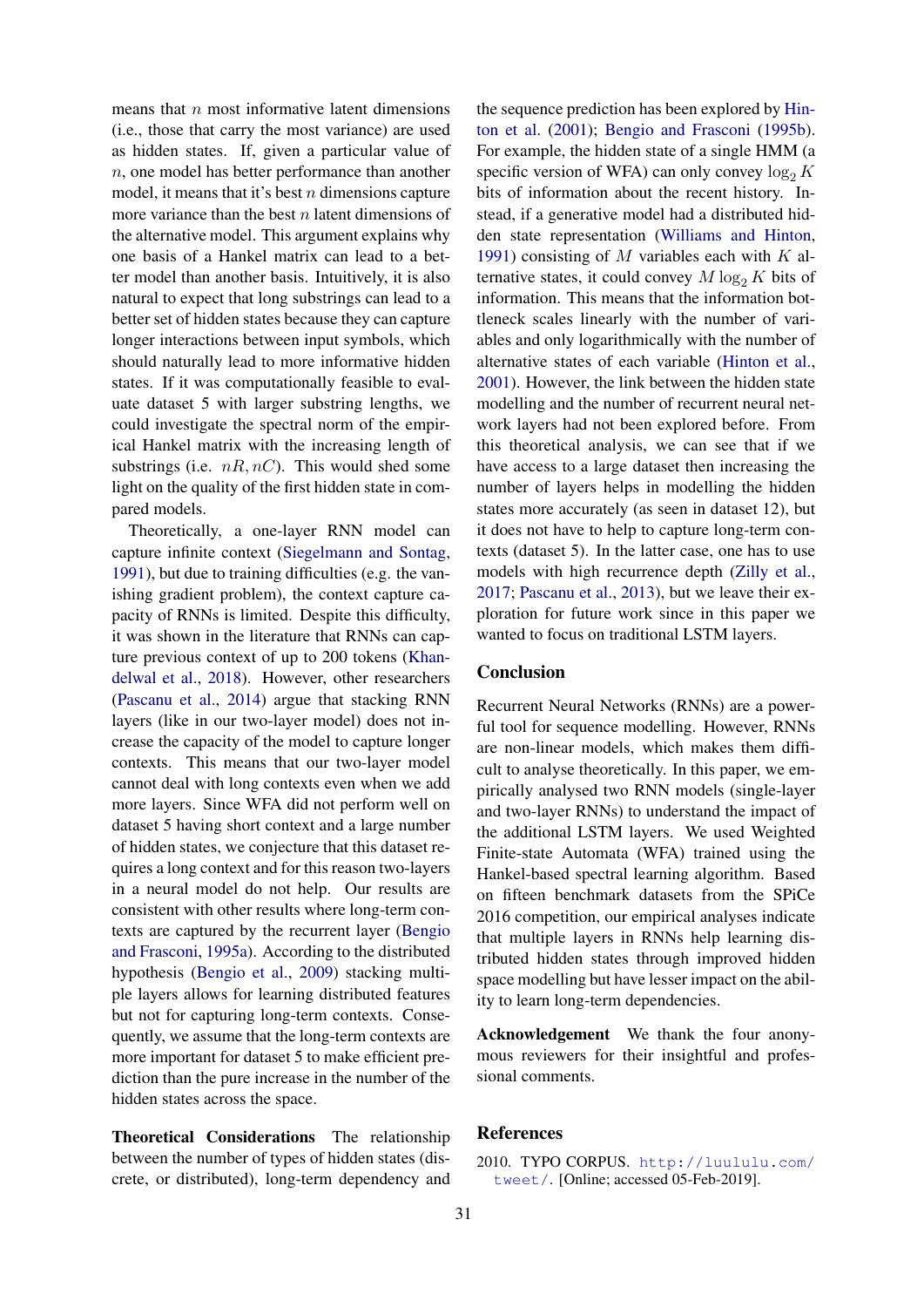means that  $n$  most informative latent dimensions (i.e., those that carry the most variance) are used as hidden states. If, given a particular value of n, one model has better performance than another model, it means that it's best  $n$  dimensions capture more variance than the best  $n$  latent dimensions of the alternative model. This argument explains why one basis of a Hankel matrix can lead to a better model than another basis. Intuitively, it is also natural to expect that long substrings can lead to a better set of hidden states because they can capture longer interactions between input symbols, which should naturally lead to more informative hidden states. If it was computationally feasible to evaluate dataset 5 with larger substring lengths, we could investigate the spectral norm of the empirical Hankel matrix with the increasing length of substrings (i.e.  $nR, nC$ ). This would shed some light on the quality of the first hidden state in compared models.

Theoretically, a one-layer RNN model can capture infinite context [\(Siegelmann and Sontag,](#page-9-1) [1991\)](#page-9-1), but due to training difficulties (e.g. the vanishing gradient problem), the context capture capacity of RNNs is limited. Despite this difficulty, it was shown in the literature that RNNs can capture previous context of up to 200 tokens [\(Khan](#page-8-23)[delwal et al.,](#page-8-23) [2018\)](#page-8-23). However, other researchers [\(Pascanu et al.,](#page-9-5) [2014\)](#page-9-5) argue that stacking RNN layers (like in our two-layer model) does not increase the capacity of the model to capture longer contexts. This means that our two-layer model cannot deal with long contexts even when we add more layers. Since WFA did not perform well on dataset 5 having short context and a large number of hidden states, we conjecture that this dataset requires a long context and for this reason two-layers in a neural model do not help. Our results are consistent with other results where long-term contexts are captured by the recurrent layer [\(Bengio](#page-8-24) [and Frasconi,](#page-8-24) [1995a\)](#page-8-24). According to the distributed hypothesis [\(Bengio et al.,](#page-8-3) [2009\)](#page-8-3) stacking multiple layers allows for learning distributed features but not for capturing long-term contexts. Consequently, we assume that the long-term contexts are more important for dataset 5 to make efficient prediction than the pure increase in the number of the hidden states across the space.

Theoretical Considerations The relationship between the number of types of hidden states (discrete, or distributed), long-term dependency and

the sequence prediction has been explored by [Hin](#page-8-19)[ton et al.](#page-8-19) [\(2001\)](#page-8-19); [Bengio and Frasconi](#page-8-18) [\(1995b\)](#page-8-18). For example, the hidden state of a single HMM (a specific version of WFA) can only convey  $log_2 K$ bits of information about the recent history. Instead, if a generative model had a distributed hidden state representation [\(Williams and Hinton,](#page-9-22) [1991\)](#page-9-22) consisting of M variables each with  $K$  alternative states, it could convey  $M \log_2 K$  bits of information. This means that the information bottleneck scales linearly with the number of variables and only logarithmically with the number of alternative states of each variable [\(Hinton et al.,](#page-8-19) [2001\)](#page-8-19). However, the link between the hidden state modelling and the number of recurrent neural network layers had not been explored before. From this theoretical analysis, we can see that if we have access to a large dataset then increasing the number of layers helps in modelling the hidden states more accurately (as seen in dataset 12), but it does not have to help to capture long-term contexts (dataset 5). In the latter case, one has to use models with high recurrence depth [\(Zilly et al.,](#page-9-23) [2017;](#page-9-23) [Pascanu et al.,](#page-9-4) [2013\)](#page-9-4), but we leave their exploration for future work since in this paper we wanted to focus on traditional LSTM layers.

## Conclusion

Recurrent Neural Networks (RNNs) are a powerful tool for sequence modelling. However, RNNs are non-linear models, which makes them difficult to analyse theoretically. In this paper, we empirically analysed two RNN models (single-layer and two-layer RNNs) to understand the impact of the additional LSTM layers. We used Weighted Finite-state Automata (WFA) trained using the Hankel-based spectral learning algorithm. Based on fifteen benchmark datasets from the SPiCe 2016 competition, our empirical analyses indicate that multiple layers in RNNs help learning distributed hidden states through improved hidden space modelling but have lesser impact on the ability to learn long-term dependencies.

Acknowledgement We thank the four anonymous reviewers for their insightful and professional comments.

### **References**

<span id="page-7-0"></span><sup>2010.</sup> TYPO CORPUS. [http://luululu.com/](http://luululu.com/tweet/) [tweet/](http://luululu.com/tweet/). [Online; accessed 05-Feb-2019].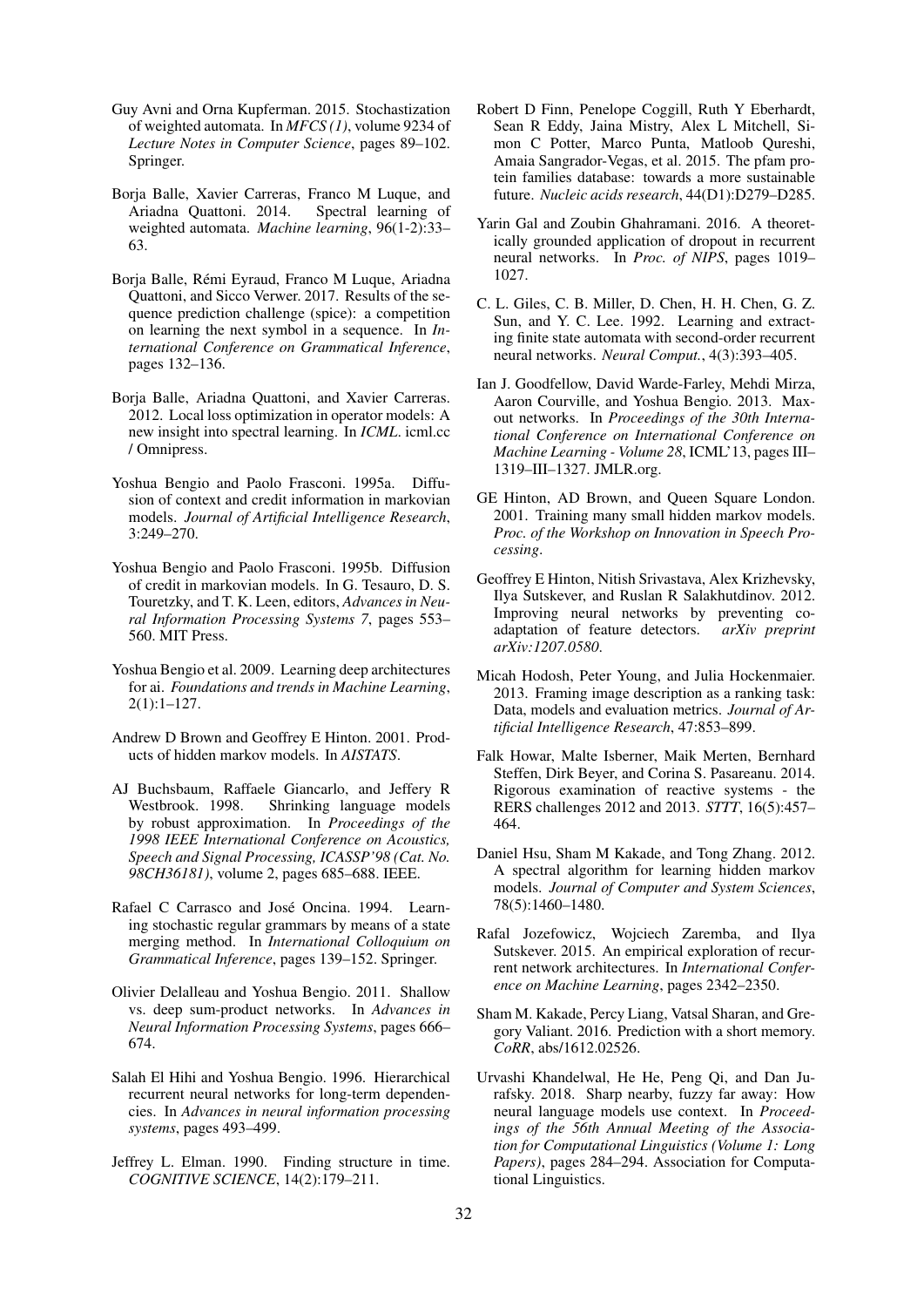- <span id="page-8-0"></span>Guy Avni and Orna Kupferman. 2015. Stochastization of weighted automata. In *MFCS (1)*, volume 9234 of *Lecture Notes in Computer Science*, pages 89–102. Springer.
- <span id="page-8-1"></span>Borja Balle, Xavier Carreras, Franco M Luque, and Ariadna Quattoni. 2014. Spectral learning of weighted automata. *Machine learning*, 96(1-2):33– 63.
- <span id="page-8-10"></span>Borja Balle, Remi Eyraud, Franco M Luque, Ariadna ´ Quattoni, and Sicco Verwer. 2017. Results of the sequence prediction challenge (spice): a competition on learning the next symbol in a sequence. In *International Conference on Grammatical Inference*, pages 132–136.
- <span id="page-8-16"></span>Borja Balle, Ariadna Quattoni, and Xavier Carreras. 2012. Local loss optimization in operator models: A new insight into spectral learning. In *ICML*. icml.cc / Omnipress.
- <span id="page-8-24"></span>Yoshua Bengio and Paolo Frasconi. 1995a. Diffusion of context and credit information in markovian models. *Journal of Artificial Intelligence Research*, 3:249–270.
- <span id="page-8-18"></span>Yoshua Bengio and Paolo Frasconi. 1995b. Diffusion of credit in markovian models. In G. Tesauro, D. S. Touretzky, and T. K. Leen, editors, *Advances in Neural Information Processing Systems 7*, pages 553– 560. MIT Press.
- <span id="page-8-3"></span>Yoshua Bengio et al. 2009. Learning deep architectures for ai. *Foundations and trends in Machine Learning*, 2(1):1–127.
- <span id="page-8-22"></span>Andrew D Brown and Geoffrey E Hinton. 2001. Products of hidden markov models. In *AISTATS*.
- <span id="page-8-9"></span>AJ Buchsbaum, Raffaele Giancarlo, and Jeffery R Westbrook. 1998. Shrinking language models by robust approximation. In *Proceedings of the 1998 IEEE International Conference on Acoustics, Speech and Signal Processing, ICASSP'98 (Cat. No. 98CH36181)*, volume 2, pages 685–688. IEEE.
- <span id="page-8-12"></span>Rafael C Carrasco and José Oncina. 1994. Learning stochastic regular grammars by means of a state merging method. In *International Colloquium on Grammatical Inference*, pages 139–152. Springer.
- <span id="page-8-4"></span>Olivier Delalleau and Yoshua Bengio. 2011. Shallow vs. deep sum-product networks. In *Advances in Neural Information Processing Systems*, pages 666– 674.
- <span id="page-8-7"></span>Salah El Hihi and Yoshua Bengio. 1996. Hierarchical recurrent neural networks for long-term dependencies. In *Advances in neural information processing systems*, pages 493–499.
- <span id="page-8-8"></span>Jeffrey L. Elman. 1990. Finding structure in time. *COGNITIVE SCIENCE*, 14(2):179–211.
- <span id="page-8-14"></span>Robert D Finn, Penelope Coggill, Ruth Y Eberhardt, Sean R Eddy, Jaina Mistry, Alex L Mitchell, Simon C Potter, Marco Punta, Matloob Qureshi, Amaia Sangrador-Vegas, et al. 2015. The pfam protein families database: towards a more sustainable future. *Nucleic acids research*, 44(D1):D279–D285.
- <span id="page-8-17"></span>Yarin Gal and Zoubin Ghahramani. 2016. A theoretically grounded application of dropout in recurrent neural networks. In *Proc. of NIPS*, pages 1019– 1027.
- <span id="page-8-21"></span>C. L. Giles, C. B. Miller, D. Chen, H. H. Chen, G. Z. Sun, and Y. C. Lee. 1992. Learning and extracting finite state automata with second-order recurrent neural networks. *Neural Comput.*, 4(3):393–405.
- <span id="page-8-5"></span>Ian J. Goodfellow, David Warde-Farley, Mehdi Mirza, Aaron Courville, and Yoshua Bengio. 2013. Maxout networks. In *Proceedings of the 30th International Conference on International Conference on Machine Learning - Volume 28*, ICML'13, pages III– 1319–III–1327. JMLR.org.
- <span id="page-8-19"></span>GE Hinton, AD Brown, and Queen Square London. 2001. Training many small hidden markov models. *Proc. of the Workshop on Innovation in Speech Processing*.
- <span id="page-8-6"></span>Geoffrey E Hinton, Nitish Srivastava, Alex Krizhevsky, Ilya Sutskever, and Ruslan R Salakhutdinov. 2012. Improving neural networks by preventing coadaptation of feature detectors. *arXiv preprint arXiv:1207.0580*.
- <span id="page-8-13"></span>Micah Hodosh, Peter Young, and Julia Hockenmaier. 2013. Framing image description as a ranking task: Data, models and evaluation metrics. *Journal of Artificial Intelligence Research*, 47:853–899.
- <span id="page-8-11"></span>Falk Howar, Malte Isberner, Maik Merten, Bernhard Steffen, Dirk Beyer, and Corina S. Pasareanu. 2014. Rigorous examination of reactive systems - the RERS challenges 2012 and 2013. *STTT*, 16(5):457– 464.
- <span id="page-8-15"></span>Daniel Hsu, Sham M Kakade, and Tong Zhang. 2012. A spectral algorithm for learning hidden markov models. *Journal of Computer and System Sciences*, 78(5):1460–1480.
- <span id="page-8-2"></span>Rafal Jozefowicz, Wojciech Zaremba, and Ilya Sutskever. 2015. An empirical exploration of recurrent network architectures. In *International Conference on Machine Learning*, pages 2342–2350.
- <span id="page-8-20"></span>Sham M. Kakade, Percy Liang, Vatsal Sharan, and Gregory Valiant. 2016. Prediction with a short memory. *CoRR*, abs/1612.02526.
- <span id="page-8-23"></span>Urvashi Khandelwal, He He, Peng Qi, and Dan Jurafsky. 2018. Sharp nearby, fuzzy far away: How neural language models use context. In *Proceedings of the 56th Annual Meeting of the Association for Computational Linguistics (Volume 1: Long Papers)*, pages 284–294. Association for Computational Linguistics.